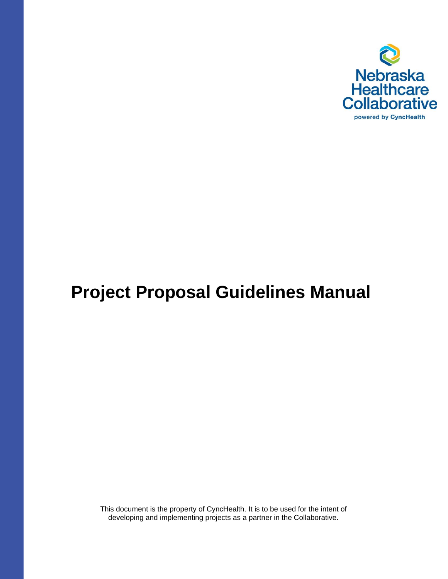

# **Project Proposal Guidelines Manual**

This document is the property of CyncHealth. It is to be used for the intent of developing and implementing projects as a partner in the Collaborative.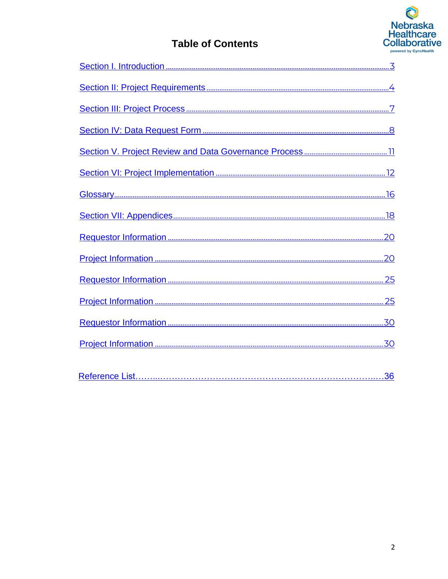

# **Table of Contents**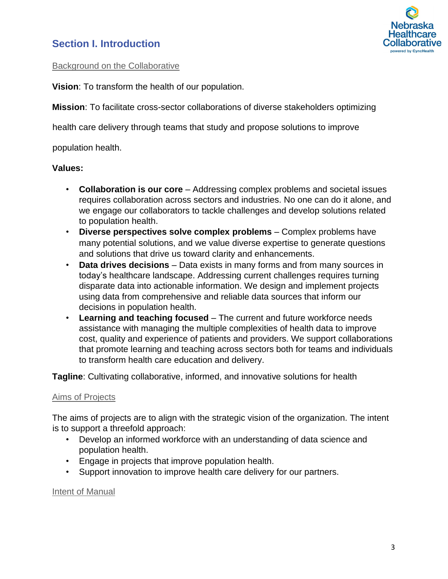# <span id="page-2-0"></span>**Section I. Introduction**



### Background on the Collaborative

**Vision**: To transform the health of our population.

**Mission**: To facilitate cross-sector collaborations of diverse stakeholders optimizing

health care delivery through teams that study and propose solutions to improve

population health.

### **Values:**

- **Collaboration is our core** Addressing complex problems and societal issues requires collaboration across sectors and industries. No one can do it alone, and we engage our collaborators to tackle challenges and develop solutions related to population health.
- **Diverse perspectives solve complex problems** Complex problems have many potential solutions, and we value diverse expertise to generate questions and solutions that drive us toward clarity and enhancements.
- **Data drives decisions** Data exists in many forms and from many sources in today's healthcare landscape. Addressing current challenges requires turning disparate data into actionable information. We design and implement projects using data from comprehensive and reliable data sources that inform our decisions in population health.
- **Learning and teaching focused**  The current and future workforce needs assistance with managing the multiple complexities of health data to improve cost, quality and experience of patients and providers. We support collaborations that promote learning and teaching across sectors both for teams and individuals to transform health care education and delivery.

**Tagline**: Cultivating collaborative, informed, and innovative solutions for health

### Aims of Projects

The aims of projects are to align with the strategic vision of the organization. The intent is to support a threefold approach:

- Develop an informed workforce with an understanding of data science and population health.
- Engage in projects that improve population health.
- Support innovation to improve health care delivery for our partners.

Intent of Manual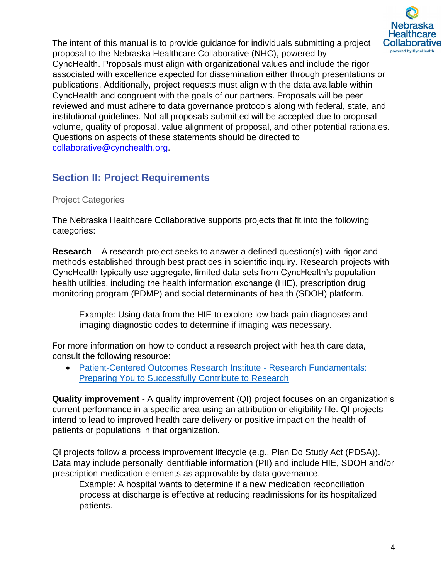

The intent of this manual is to provide guidance for individuals submitting a project proposal to the Nebraska Healthcare Collaborative (NHC), powered by CyncHealth. Proposals must align with organizational values and include the rigor associated with excellence expected for dissemination either through presentations or publications. Additionally, project requests must align with the data available within CyncHealth and congruent with the goals of our partners. Proposals will be peer reviewed and must adhere to data governance protocols along with federal, state, and institutional guidelines. Not all proposals submitted will be accepted due to proposal volume, quality of proposal, value alignment of proposal, and other potential rationales. Questions on aspects of these statements should be directed to collaborative@cynchealth.org.

# <span id="page-3-0"></span>**Section II: Project Requirements**

# **Project Categories**

The Nebraska Healthcare Collaborative supports projects that fit into the following categories:

**Research** – A research project seeks to answer a defined question(s) with rigor and methods established through best practices in scientific inquiry. Research projects with CyncHealth typically use aggregate, limited data sets from CyncHealth's population health utilities, including the health information exchange (HIE), prescription drug monitoring program (PDMP) and social determinants of health (SDOH) platform.

Example: Using data from the HIE to explore low back pain diagnoses and imaging diagnostic codes to determine if imaging was necessary.

For more information on how to conduct a research project with health care data, consult the following resource:

• [Patient-Centered Outcomes Research Institute -](https://www.pcori.org/engagement/research-fundamentals) Research Fundamentals: [Preparing You to Successfully Contribute to Research](https://www.pcori.org/engagement/research-fundamentals)

**Quality improvement** - A quality improvement (QI) project focuses on an organization's current performance in a specific area using an attribution or eligibility file. QI projects intend to lead to improved health care delivery or positive impact on the health of patients or populations in that organization.

QI projects follow a process improvement lifecycle (e.g., Plan Do Study Act (PDSA)). Data may include personally identifiable information (PII) and include HIE, SDOH and/or prescription medication elements as approvable by data governance.

Example: A hospital wants to determine if a new medication reconciliation process at discharge is effective at reducing readmissions for its hospitalized patients.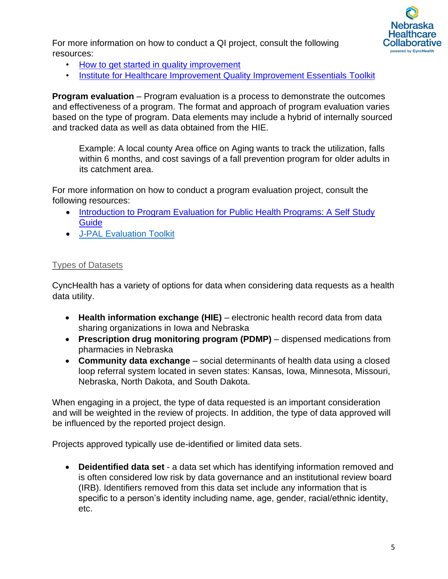

For more information on how to conduct a QI project, consult the following resources:

- [How to get started in quality improvement](https://www.bmj.com/content/364/bmj.k5437)
- [Institute for Healthcare Improvement Quality Improvement Essentials Toolkit](http://www.ihi.org/resources/Pages/Tools/Quality-Improvement-Essentials-Toolkit.aspx)

**Program evaluation** – Program evaluation is a process to demonstrate the outcomes and effectiveness of a program. The format and approach of program evaluation varies based on the type of program. Data elements may include a hybrid of internally sourced and tracked data as well as data obtained from the HIE.

Example: A local county Area office on Aging wants to track the utilization, falls within 6 months, and cost savings of a fall prevention program for older adults in its catchment area.

For more information on how to conduct a program evaluation project, consult the following resources:

- [Introduction to Program Evaluation for Public Health Programs: A Self](https://www.cdc.gov/eval/guide/index.htm) Study **[Guide](https://www.cdc.gov/eval/guide/index.htm)**
- [J-PAL Evaluation Toolkit](https://www.povertyactionlab.org/research-resources?view=toc)

## Types of Datasets

CyncHealth has a variety of options for data when considering data requests as a health data utility.

- **Health information exchange (HIE)** electronic health record data from data sharing organizations in Iowa and Nebraska
- **Prescription drug monitoring program (PDMP)** dispensed medications from pharmacies in Nebraska
- **Community data exchange** social determinants of health data using a closed loop referral system located in seven states: Kansas, Iowa, Minnesota, Missouri, Nebraska, North Dakota, and South Dakota.

When engaging in a project, the type of data requested is an important consideration and will be weighted in the review of projects. In addition, the type of data approved will be influenced by the reported project design.

Projects approved typically use de-identified or limited data sets.

• **Deidentified data set** - a data set which has identifying information removed and is often considered low risk by data governance and an institutional review board (IRB). Identifiers removed from this data set include any information that is specific to a person's identity including name, age, gender, racial/ethnic identity, etc.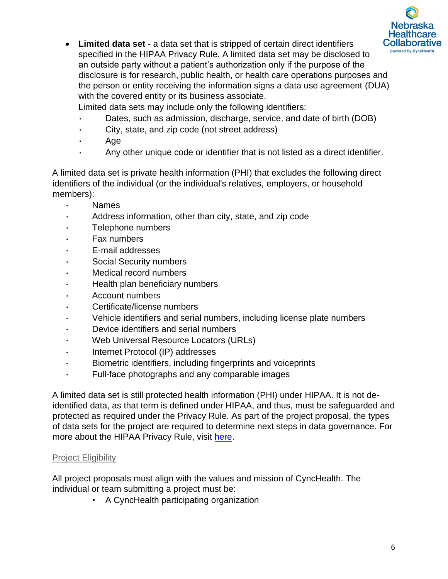

• **Limited data set** - a data set that is stripped of certain direct identifiers specified in the HIPAA Privacy Rule. A limited data set may be disclosed to an outside party without a patient's authorization only if the purpose of the disclosure is for research, public health, or health care operations purposes and the person or entity receiving the information signs a data use agreement (DUA) with the covered entity or its business associate.

Limited data sets may include only the following identifiers:

- Dates, such as admission, discharge, service, and date of birth (DOB)
- City, state, and zip code (not street address)
- Age
- Any other unique code or identifier that is not listed as a direct identifier.

A limited data set is private health information (PHI) that excludes the following direct identifiers of the individual (or the individual's relatives, employers, or household members):

- Names
- Address information, other than city, state, and zip code
- Telephone numbers
- Fax numbers
- E-mail addresses
- Social Security numbers
- Medical record numbers
- Health plan beneficiary numbers
- Account numbers
- Certificate/license numbers
- Vehicle identifiers and serial numbers, including license plate numbers
- Device identifiers and serial numbers
- Web Universal Resource Locators (URLs)
- Internet Protocol (IP) addresses
- Biometric identifiers, including fingerprints and voiceprints
- Full-face photographs and any comparable images

A limited data set is still protected health information (PHI) under HIPAA. It is not deidentified data, as that term is defined under HIPAA, and thus, must be safeguarded and protected as required under the Privacy Rule. As part of the project proposal, the types of data sets for the project are required to determine next steps in data governance. For more about the HIPAA Privacy Rule, visit [here.](https://www.hhs.gov/hipaa/for-professionals/privacy/index.html)

## Project Eligibility

All project proposals must align with the values and mission of CyncHealth. The individual or team submitting a project must be:

• A CyncHealth participating organization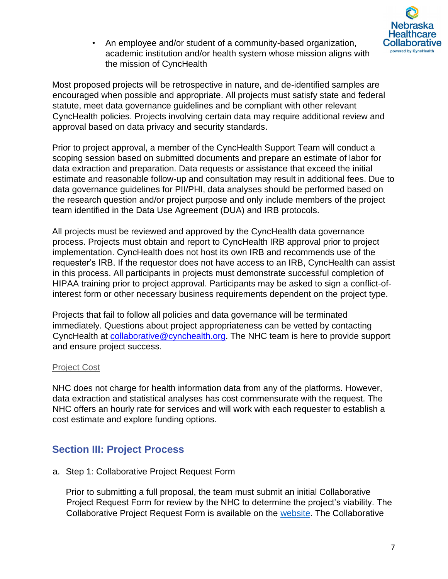

• An employee and/or student of a community-based organization, academic institution and/or health system whose mission aligns with the mission of CyncHealth

Most proposed projects will be retrospective in nature, and de-identified samples are encouraged when possible and appropriate. All projects must satisfy state and federal statute, meet data governance guidelines and be compliant with other relevant CyncHealth policies. Projects involving certain data may require additional review and approval based on data privacy and security standards.

Prior to project approval, a member of the CyncHealth Support Team will conduct a scoping session based on submitted documents and prepare an estimate of labor for data extraction and preparation. Data requests or assistance that exceed the initial estimate and reasonable follow-up and consultation may result in additional fees. Due to data governance guidelines for PII/PHI, data analyses should be performed based on the research question and/or project purpose and only include members of the project team identified in the Data Use Agreement (DUA) and IRB protocols.

All projects must be reviewed and approved by the CyncHealth data governance process. Projects must obtain and report to CyncHealth IRB approval prior to project implementation. CyncHealth does not host its own IRB and recommends use of the requester's IRB. If the requestor does not have access to an IRB, CyncHealth can assist in this process. All participants in projects must demonstrate successful completion of HIPAA training prior to project approval. Participants may be asked to sign a conflict-ofinterest form or other necessary business requirements dependent on the project type.

Projects that fail to follow all policies and data governance will be terminated immediately. Questions about project appropriateness can be vetted by contacting CyncHealth at collaborative@cynchealth.org. The NHC team is here to provide support and ensure project success.

## Project Cost

NHC does not charge for health information data from any of the platforms. However, data extraction and statistical analyses has cost commensurate with the request. The NHC offers an hourly rate for services and will work with each requester to establish a cost estimate and explore funding options.

# <span id="page-6-0"></span>**Section III: Project Process**

a. Step 1: Collaborative Project Request Form

Prior to submitting a full proposal, the team must submit an initial Collaborative Project Request Form for review by the NHC to determine the project's viability. The Collaborative Project Request Form is available on the [website.](https://cynchealth.org/about/nebraska-healthcare-collaborative/) The Collaborative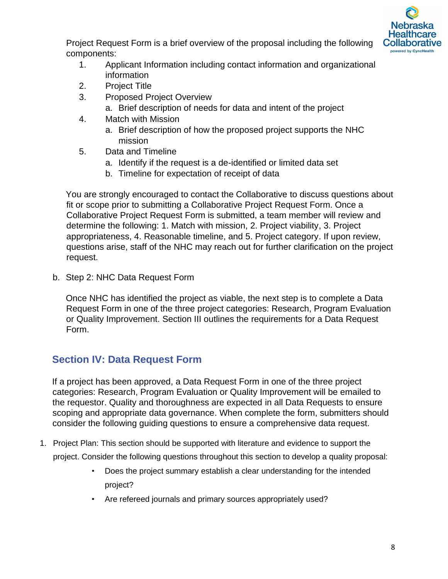

Project Request Form is a brief overview of the proposal including the following components:

- 1. Applicant Information including contact information and organizational information
- 2. Project Title
- 3. Proposed Project Overview
	- a. Brief description of needs for data and intent of the project
- 4. Match with Mission
	- a. Brief description of how the proposed project supports the NHC mission
- 5. Data and Timeline
	- a. Identify if the request is a de-identified or limited data set
	- b. Timeline for expectation of receipt of data

You are strongly encouraged to contact the Collaborative to discuss questions about fit or scope prior to submitting a Collaborative Project Request Form. Once a Collaborative Project Request Form is submitted, a team member will review and determine the following: 1. Match with mission, 2. Project viability, 3. Project appropriateness, 4. Reasonable timeline, and 5. Project category. If upon review, questions arise, staff of the NHC may reach out for further clarification on the project request.

b. Step 2: NHC Data Request Form

Once NHC has identified the project as viable, the next step is to complete a Data Request Form in one of the three project categories: Research, Program Evaluation or Quality Improvement. Section III outlines the requirements for a Data Request Form.

# <span id="page-7-0"></span>**Section IV: Data Request Form**

If a project has been approved, a Data Request Form in one of the three project categories: Research, Program Evaluation or Quality Improvement will be emailed to the requestor. Quality and thoroughness are expected in all Data Requests to ensure scoping and appropriate data governance. When complete the form, submitters should consider the following guiding questions to ensure a comprehensive data request.

- 1. Project Plan: This section should be supported with literature and evidence to support the project. Consider the following questions throughout this section to develop a quality proposal:
	- Does the project summary establish a clear understanding for the intended project?
	- Are refereed journals and primary sources appropriately used?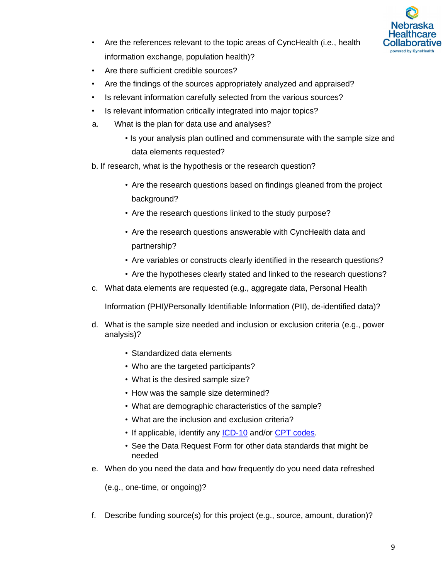

- Are the references relevant to the topic areas of CyncHealth (i.e., health information exchange, population health)?
- Are there sufficient credible sources?
- Are the findings of the sources appropriately analyzed and appraised?
- Is relevant information carefully selected from the various sources?
- Is relevant information critically integrated into major topics?
- a. What is the plan for data use and analyses?
	- Is your analysis plan outlined and commensurate with the sample size and data elements requested?
- b. If research, what is the hypothesis or the research question?
	- Are the research questions based on findings gleaned from the project background?
	- Are the research questions linked to the study purpose?
	- Are the research questions answerable with CyncHealth data and partnership?
	- Are variables or constructs clearly identified in the research questions?
	- Are the hypotheses clearly stated and linked to the research questions?
- c. What data elements are requested (e.g., aggregate data, Personal Health

Information (PHI)/Personally Identifiable Information (PII), de-identified data)?

- d. What is the sample size needed and inclusion or exclusion criteria (e.g., power analysis)?
	- Standardized data elements
	- Who are the targeted participants?
	- What is the desired sample size?
	- How was the sample size determined?
	- What are demographic characteristics of the sample?
	- What are the inclusion and exclusion criteria?
	- If applicable, identify any [ICD-10](https://www.cdc.gov/nchs/icd/icd10cm.htm) and/or [CPT codes.](https://www.ama-assn.org/practice-management/cpt)
	- See the Data Request Form for other data standards that might be needed
- e. When do you need the data and how frequently do you need data refreshed

(e.g., one-time, or ongoing)?

f. Describe funding source(s) for this project (e.g., source, amount, duration)?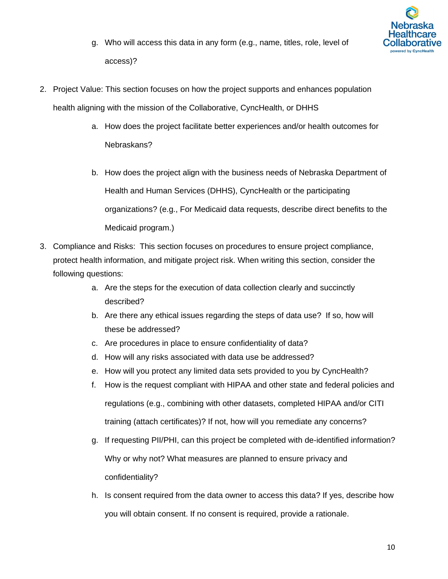

- g. Who will access this data in any form (e.g., name, titles, role, level of access)?
- 2. Project Value: This section focuses on how the project supports and enhances population health aligning with the mission of the Collaborative, CyncHealth, or DHHS
	- a. How does the project facilitate better experiences and/or health outcomes for Nebraskans?
	- b. How does the project align with the business needs of Nebraska Department of Health and Human Services (DHHS), CyncHealth or the participating organizations? (e.g., For Medicaid data requests, describe direct benefits to the Medicaid program.)
- 3. Compliance and Risks: This section focuses on procedures to ensure project compliance, protect health information, and mitigate project risk. When writing this section, consider the following questions:
	- a. Are the steps for the execution of data collection clearly and succinctly described?
	- b. Are there any ethical issues regarding the steps of data use? If so, how will these be addressed?
	- c. Are procedures in place to ensure confidentiality of data?
	- d. How will any risks associated with data use be addressed?
	- e. How will you protect any limited data sets provided to you by CyncHealth?
	- f. How is the request compliant with HIPAA and other state and federal policies and regulations (e.g., combining with other datasets, completed HIPAA and/or CITI training (attach certificates)? If not, how will you remediate any concerns?
	- g. If requesting PII/PHI, can this project be completed with de-identified information? Why or why not? What measures are planned to ensure privacy and confidentiality?
	- h. Is consent required from the data owner to access this data? If yes, describe how you will obtain consent. If no consent is required, provide a rationale.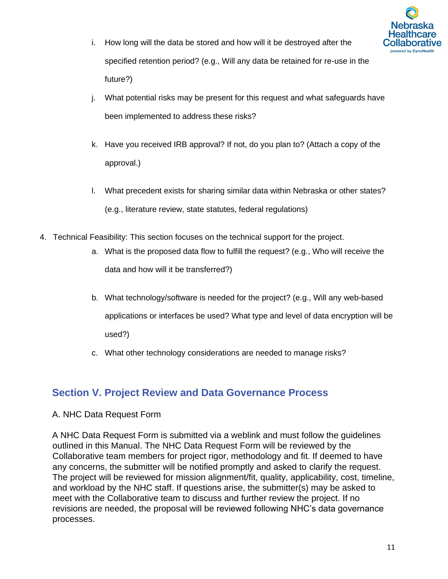

- i. How long will the data be stored and how will it be destroyed after the specified retention period? (e.g., Will any data be retained for re-use in the future?)
- j. What potential risks may be present for this request and what safeguards have been implemented to address these risks?
- k. Have you received IRB approval? If not, do you plan to? (Attach a copy of the approval.)
- l. What precedent exists for sharing similar data within Nebraska or other states? (e.g., literature review, state statutes, federal regulations)
- 4. Technical Feasibility: This section focuses on the technical support for the project.
	- a. What is the proposed data flow to fulfill the request? (e.g., Who will receive the data and how will it be transferred?)
	- b. What technology/software is needed for the project? (e.g., Will any web-based applications or interfaces be used? What type and level of data encryption will be used?)
	- c. What other technology considerations are needed to manage risks?

# <span id="page-10-0"></span>**Section V. Project Review and Data Governance Process**

### A. NHC Data Request Form

A NHC Data Request Form is submitted via a weblink and must follow the guidelines outlined in this Manual. The NHC Data Request Form will be reviewed by the Collaborative team members for project rigor, methodology and fit. If deemed to have any concerns, the submitter will be notified promptly and asked to clarify the request. The project will be reviewed for mission alignment/fit, quality, applicability, cost, timeline, and workload by the NHC staff. If questions arise, the submitter(s) may be asked to meet with the Collaborative team to discuss and further review the project. If no revisions are needed, the proposal will be reviewed following NHC's data governance processes.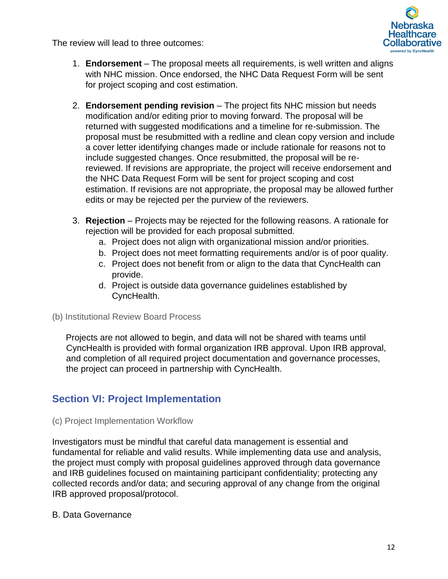The review will lead to three outcomes:



- 1. **Endorsement** The proposal meets all requirements, is well written and aligns with NHC mission. Once endorsed, the NHC Data Request Form will be sent for project scoping and cost estimation.
- 2. **Endorsement pending revision** The project fits NHC mission but needs modification and/or editing prior to moving forward. The proposal will be returned with suggested modifications and a timeline for re-submission. The proposal must be resubmitted with a redline and clean copy version and include a cover letter identifying changes made or include rationale for reasons not to include suggested changes. Once resubmitted, the proposal will be rereviewed. If revisions are appropriate, the project will receive endorsement and the NHC Data Request Form will be sent for project scoping and cost estimation. If revisions are not appropriate, the proposal may be allowed further edits or may be rejected per the purview of the reviewers.
- 3. **Rejection** Projects may be rejected for the following reasons. A rationale for rejection will be provided for each proposal submitted.
	- a. Project does not align with organizational mission and/or priorities.
	- b. Project does not meet formatting requirements and/or is of poor quality.
	- c. Project does not benefit from or align to the data that CyncHealth can provide.
	- d. Project is outside data governance guidelines established by CyncHealth.
- (b) Institutional Review Board Process

Projects are not allowed to begin, and data will not be shared with teams until CyncHealth is provided with formal organization IRB approval. Upon IRB approval, and completion of all required project documentation and governance processes, the project can proceed in partnership with CyncHealth.

# <span id="page-11-0"></span>**Section VI: Project Implementation**

## (c) Project Implementation Workflow

Investigators must be mindful that careful data management is essential and fundamental for reliable and valid results. While implementing data use and analysis, the project must comply with proposal guidelines approved through data governance and IRB guidelines focused on maintaining participant confidentiality; protecting any collected records and/or data; and securing approval of any change from the original IRB approved proposal/protocol.

## B. Data Governance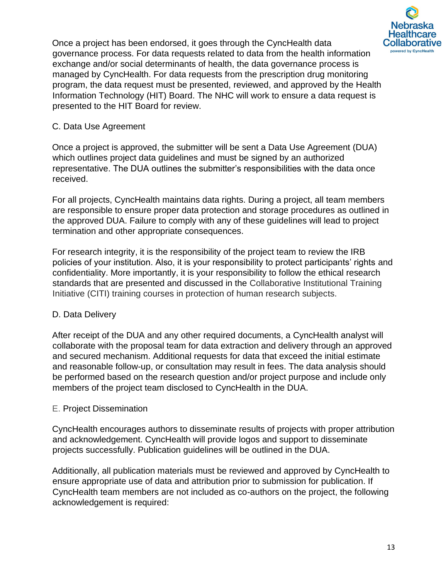

Once a project has been endorsed, it goes through the CyncHealth data governance process. For data requests related to data from the health information exchange and/or social determinants of health, the data governance process is managed by CyncHealth. For data requests from the prescription drug monitoring program, the data request must be presented, reviewed, and approved by the Health Information Technology (HIT) Board. The NHC will work to ensure a data request is presented to the HIT Board for review.

## C. Data Use Agreement

Once a project is approved, the submitter will be sent a Data Use Agreement (DUA) which outlines project data guidelines and must be signed by an authorized representative. The DUA outlines the submitter's responsibilities with the data once received.

For all projects, CyncHealth maintains data rights. During a project, all team members are responsible to ensure proper data protection and storage procedures as outlined in the approved DUA. Failure to comply with any of these guidelines will lead to project termination and other appropriate consequences.

For research integrity, it is the responsibility of the project team to review the IRB policies of your institution. Also, it is your responsibility to protect participants' rights and confidentiality. More importantly, it is your responsibility to follow the ethical research standards that are presented and discussed in the Collaborative Institutional Training Initiative (CITI) training courses in protection of human research subjects.

## D. Data Delivery

After receipt of the DUA and any other required documents, a CyncHealth analyst will collaborate with the proposal team for data extraction and delivery through an approved and secured mechanism. Additional requests for data that exceed the initial estimate and reasonable follow-up, or consultation may result in fees. The data analysis should be performed based on the research question and/or project purpose and include only members of the project team disclosed to CyncHealth in the DUA.

## E. Project Dissemination

CyncHealth encourages authors to disseminate results of projects with proper attribution and acknowledgement. CyncHealth will provide logos and support to disseminate projects successfully. Publication guidelines will be outlined in the DUA.

Additionally, all publication materials must be reviewed and approved by CyncHealth to ensure appropriate use of data and attribution prior to submission for publication. If CyncHealth team members are not included as co-authors on the project, the following acknowledgement is required: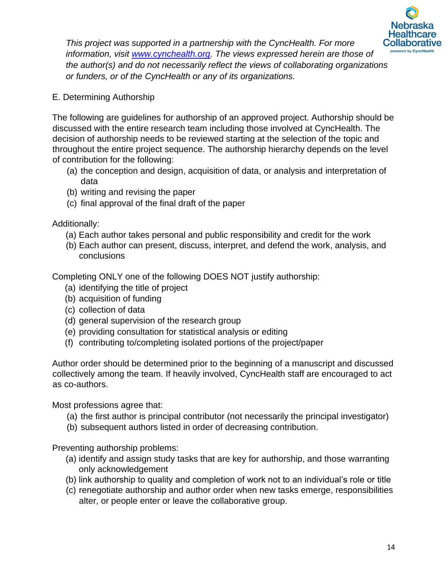

*This project was supported in a partnership with the CyncHealth. For more information, visit [www.cynchealth.org.](http://www.cynchealth.org/) The views expressed herein are those of the author(s) and do not necessarily reflect the views of collaborating organizations or funders, or of the CyncHealth or any of its organizations.* 

E. Determining Authorship

The following are guidelines for authorship of an approved project. Authorship should be discussed with the entire research team including those involved at CyncHealth. The decision of authorship needs to be reviewed starting at the selection of the topic and throughout the entire project sequence. The authorship hierarchy depends on the level of contribution for the following:

- (a) the conception and design, acquisition of data, or analysis and interpretation of data
- (b) writing and revising the paper
- (c) final approval of the final draft of the paper

Additionally:

- (a) Each author takes personal and public responsibility and credit for the work
- (b) Each author can present, discuss, interpret, and defend the work, analysis, and conclusions

Completing ONLY one of the following DOES NOT justify authorship:

- (a) identifying the title of project
- (b) acquisition of funding
- (c) collection of data
- (d) general supervision of the research group
- (e) providing consultation for statistical analysis or editing
- (f) contributing to/completing isolated portions of the project/paper

Author order should be determined prior to the beginning of a manuscript and discussed collectively among the team. If heavily involved, CyncHealth staff are encouraged to act as co-authors.

Most professions agree that:

- (a) the first author is principal contributor (not necessarily the principal investigator)
- (b) subsequent authors listed in order of decreasing contribution.

Preventing authorship problems:

- (a) identify and assign study tasks that are key for authorship, and those warranting only acknowledgement
- (b) link authorship to quality and completion of work not to an individual's role or title
- (c) renegotiate authorship and author order when new tasks emerge, responsibilities alter, or people enter or leave the collaborative group.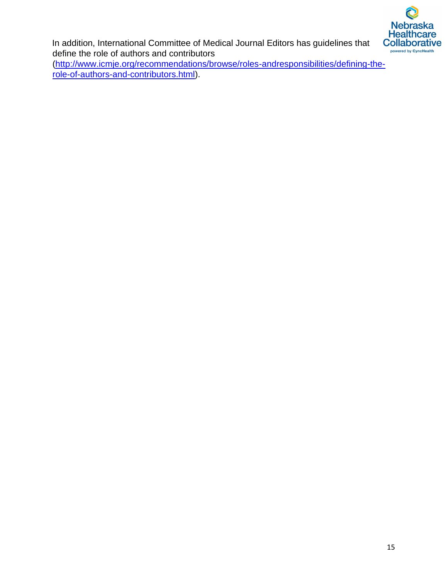

In addition, International Committee of Medical Journal Editors has guidelines that define the role of authors and contributors

[\(http://www.icmje.org/recommendations/browse/roles-andresponsibilities/defining-the](http://www.icmje.org/recommendations/browse/roles-and-responsibilities/defining-the-role-of-authors-and-contributors.html)[role-of-authors-and-contributors.html\).](http://www.icmje.org/recommendations/browse/roles-and-responsibilities/defining-the-role-of-authors-and-contributors.html)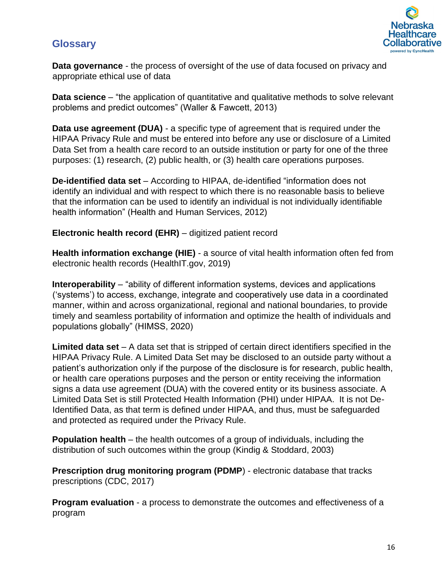# <span id="page-15-0"></span>**Glossary**



**Data governance** - the process of oversight of the use of data focused on privacy and appropriate ethical use of data

**Data science** – "the application of quantitative and qualitative methods to solve relevant problems and predict outcomes" (Waller & Fawcett, 2013)

**Data use agreement (DUA)** - a specific type of agreement that is required under the HIPAA Privacy Rule and must be entered into before any use or disclosure of a Limited Data Set from a health care record to an outside institution or party for one of the three purposes: (1) research, (2) public health, or (3) health care operations purposes.

**De-identified data set** – According to HIPAA, de-identified "information does not identify an individual and with respect to which there is no reasonable basis to believe that the information can be used to identify an individual is not individually identifiable health information" (Health and Human Services, 2012)

**Electronic health record (EHR)** – digitized patient record

**Health information exchange (HIE)** - a source of vital health information often fed from electronic health records (HealthIT.gov, 2019)

**Interoperability** – "ability of different information systems, devices and applications ('systems') to access, exchange, integrate and cooperatively use data in a coordinated manner, within and across organizational, regional and national boundaries, to provide timely and seamless portability of information and optimize the health of individuals and populations globally" (HIMSS, 2020)

**Limited data set** – A data set that is stripped of certain direct identifiers specified in the HIPAA Privacy Rule. A Limited Data Set may be disclosed to an outside party without a patient's authorization only if the purpose of the disclosure is for research, public health, or health care operations purposes and the person or entity receiving the information signs a data use agreement (DUA) with the covered entity or its business associate. A Limited Data Set is still Protected Health Information (PHI) under HIPAA. It is not De-Identified Data, as that term is defined under HIPAA, and thus, must be safeguarded and protected as required under the Privacy Rule.

**Population health** – the health outcomes of a group of individuals, including the distribution of such outcomes within the group (Kindig & Stoddard, 2003)

**Prescription drug monitoring program (PDMP)** - electronic database that tracks prescriptions (CDC, 2017)

**Program evaluation** - a process to demonstrate the outcomes and effectiveness of a program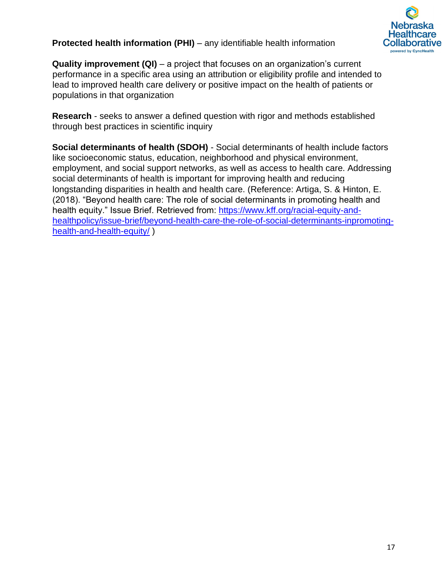

## **Protected health information (PHI)** – any identifiable health information

**Quality improvement (QI)** – a project that focuses on an organization's current performance in a specific area using an attribution or eligibility profile and intended to lead to improved health care delivery or positive impact on the health of patients or populations in that organization

**Research** - seeks to answer a defined question with rigor and methods established through best practices in scientific inquiry

**Social determinants of health (SDOH)** - Social determinants of health include factors like socioeconomic status, education, neighborhood and physical environment, employment, and social support networks, as well as access to health care. Addressing social determinants of health is important for improving health and reducing longstanding disparities in health and health care. (Reference: Artiga, S. & Hinton, E. (2018). "Beyond health care: The role of social determinants in promoting health and health equity." Issue Brief. Retrieved from: [https://www.kff.org/racial-equity-and](https://www.kff.org/racial-equity-and-health-policy/issue-brief/beyond-health-care-the-role-of-social-determinants-in-promoting-health-and-health-equity/)[healthpolicy/issue-brief/beyond-health-care-the-role-of-social-determinants-inpromoting](https://www.kff.org/racial-equity-and-health-policy/issue-brief/beyond-health-care-the-role-of-social-determinants-in-promoting-health-and-health-equity/)[health-and-health-equity/](https://www.kff.org/racial-equity-and-health-policy/issue-brief/beyond-health-care-the-role-of-social-determinants-in-promoting-health-and-health-equity/) )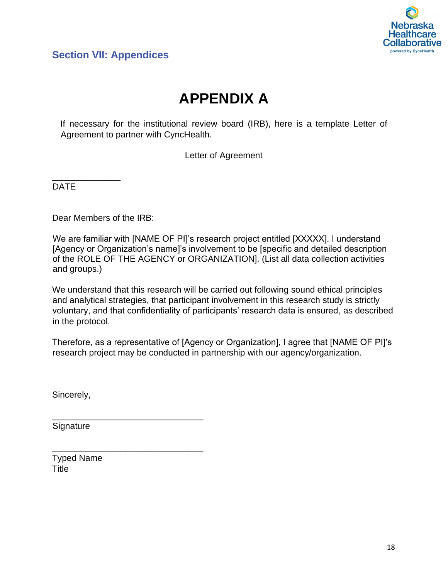

# <span id="page-17-0"></span>**Section VII: Appendices**

# **APPENDIX A**

If necessary for the institutional review board (IRB), here is a template Letter of Agreement to partner with CyncHealth.

Letter of Agreement

DATE

\_\_\_\_\_\_\_\_\_\_\_\_\_\_

Dear Members of the IRB:

We are familiar with [NAME OF PI]'s research project entitled [XXXXX]. I understand [Agency or Organization's name]'s involvement to be [specific and detailed description of the ROLE OF THE AGENCY or ORGANIZATION]. (List all data collection activities and groups.)

We understand that this research will be carried out following sound ethical principles and analytical strategies, that participant involvement in this research study is strictly voluntary, and that confidentiality of participants' research data is ensured, as described in the protocol.

Therefore, as a representative of [Agency or Organization], I agree that [NAME OF PI]'s research project may be conducted in partnership with our agency/organization.

Sincerely,

**Signature** 

\_\_\_\_\_\_\_\_\_\_\_\_\_\_\_\_\_\_\_\_\_\_\_\_\_\_\_\_\_\_\_

\_\_\_\_\_\_\_\_\_\_\_\_\_\_\_\_\_\_\_\_\_\_\_\_\_\_\_\_\_\_\_

Typed Name **Title**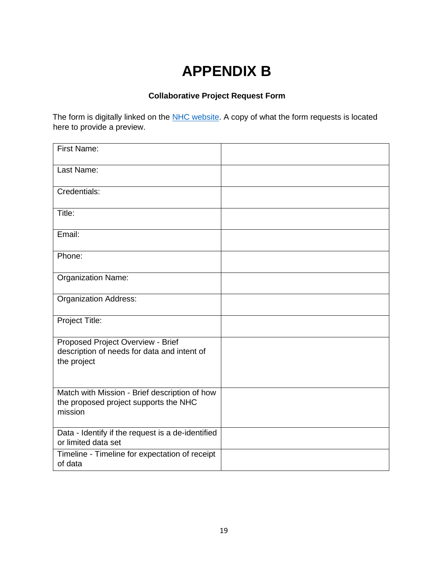# **APPENDIX B**

## **Collaborative Project Request Form**

The form is digitally linked on the [NHC website.](https://cynchealth.org/about/nebraska-healthcare-collaborative/project-proposal/) A copy of what the form requests is located here to provide a preview.

| <b>First Name:</b>                                                                                |  |
|---------------------------------------------------------------------------------------------------|--|
| Last Name:                                                                                        |  |
| Credentials:                                                                                      |  |
| Title:                                                                                            |  |
| Email:                                                                                            |  |
| Phone:                                                                                            |  |
| <b>Organization Name:</b>                                                                         |  |
| <b>Organization Address:</b>                                                                      |  |
| Project Title:                                                                                    |  |
| Proposed Project Overview - Brief<br>description of needs for data and intent of<br>the project   |  |
| Match with Mission - Brief description of how<br>the proposed project supports the NHC<br>mission |  |
| Data - Identify if the request is a de-identified<br>or limited data set                          |  |
| Timeline - Timeline for expectation of receipt<br>of data                                         |  |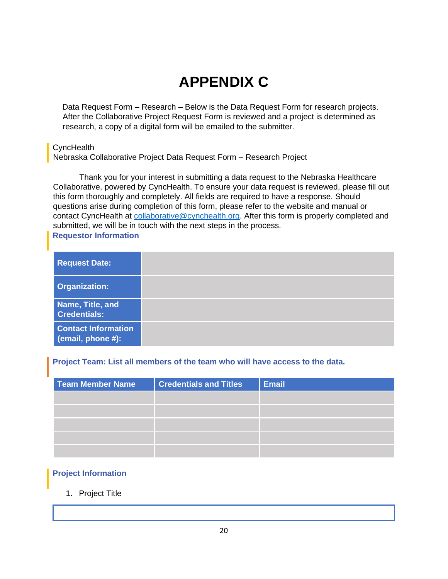# **APPENDIX C**

Data Request Form – Research – Below is the Data Request Form for research projects. After the Collaborative Project Request Form is reviewed and a project is determined as research, a copy of a digital form will be emailed to the submitter.

### **CyncHealth**

Nebraska Collaborative Project Data Request Form – Research Project

Thank you for your interest in submitting a data request to the Nebraska Healthcare Collaborative, powered by CyncHealth. To ensure your data request is reviewed, please fill out this form thoroughly and completely. All fields are required to have a response. Should questions arise during completion of this form, please refer to the website and manual or contact CyncHealth at [collaborative@cynchealth.org.](mailto:collaborative@cynchealth.org) After this form is properly completed and submitted, we will be in touch with the next steps in the process. **Requestor Information**

<span id="page-19-0"></span>

| <b>Request Date:</b>                            |  |
|-------------------------------------------------|--|
| <b>Organization:</b>                            |  |
| Name, Title, and<br><b>Credentials:</b>         |  |
| <b>Contact Information</b><br>(email, phone #): |  |

### **Project Team: List all members of the team who will have access to the data.**

| Team Member Name | <b>Credentials and Titles</b> | <b>Email</b> |
|------------------|-------------------------------|--------------|
|                  |                               |              |
|                  |                               |              |
|                  |                               |              |
|                  |                               |              |
|                  |                               |              |

### <span id="page-19-1"></span>**Project Information**

### 1. Project Title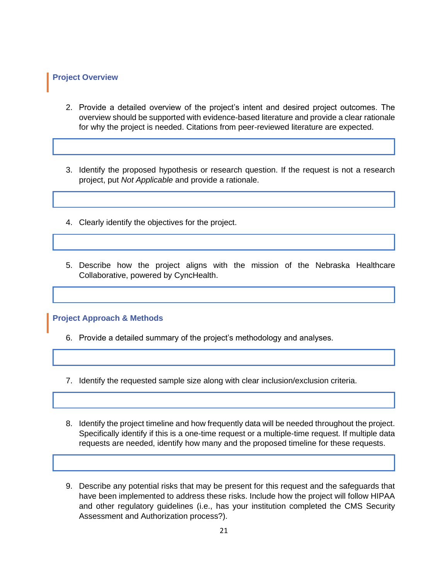#### **Project Overview**

- 2. Provide a detailed overview of the project's intent and desired project outcomes. The overview should be supported with evidence-based literature and provide a clear rationale for why the project is needed. Citations from peer-reviewed literature are expected.
- 3. Identify the proposed hypothesis or research question. If the request is not a research project, put *Not Applicable* and provide a rationale.
- 4. Clearly identify the objectives for the project.
- 5. Describe how the project aligns with the mission of the Nebraska Healthcare Collaborative, powered by CyncHealth.

**Project Approach & Methods**

6. Provide a detailed summary of the project's methodology and analyses.

- 7. Identify the requested sample size along with clear inclusion/exclusion criteria.
- 8. Identify the project timeline and how frequently data will be needed throughout the project. Specifically identify if this is a one-time request or a multiple-time request. If multiple data requests are needed, identify how many and the proposed timeline for these requests.
- 9. Describe any potential risks that may be present for this request and the safeguards that have been implemented to address these risks. Include how the project will follow HIPAA and other regulatory guidelines (i.e., has your institution completed the CMS Security Assessment and Authorization process?).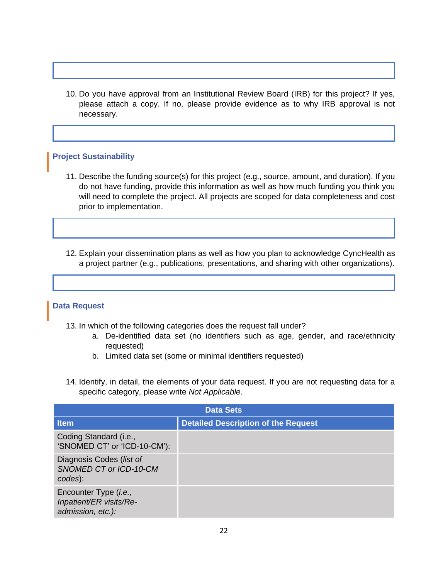10. Do you have approval from an Institutional Review Board (IRB) for this project? If yes, please attach a copy. If no, please provide evidence as to why IRB approval is not necessary.

### **Project Sustainability**

- 11. Describe the funding source(s) for this project (e.g., source, amount, and duration). If you do not have funding, provide this information as well as how much funding you think you will need to complete the project. All projects are scoped for data completeness and cost prior to implementation.
- 12. Explain your dissemination plans as well as how you plan to acknowledge CyncHealth as a project partner (e.g., publications, presentations, and sharing with other organizations).

#### **Data Request**

- 13. In which of the following categories does the request fall under?
	- a. De-identified data set (no identifiers such as age, gender, and race/ethnicity requested)
	- b. Limited data set (some or minimal identifiers requested)
- 14. Identify, in detail, the elements of your data request. If you are not requesting data for a specific category, please write *Not Applicable*.

| <b>Data Sets</b>                                                      |                                            |  |
|-----------------------------------------------------------------------|--------------------------------------------|--|
| <b>Item</b>                                                           | <b>Detailed Description of the Request</b> |  |
| Coding Standard (i.e.,<br>'SNOMED CT' or 'ICD-10-CM'):                |                                            |  |
| Diagnosis Codes (list of<br>SNOMED CT or ICD-10-CM<br>codes):         |                                            |  |
| Encounter Type (i.e.,<br>Inpatient/ER visits/Re-<br>admission, etc.): |                                            |  |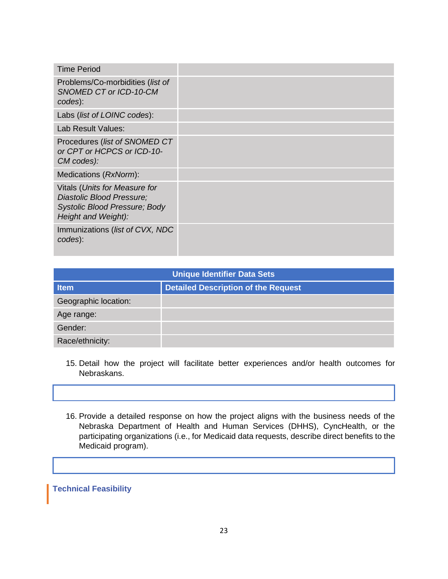| <b>Time Period</b>                                                                                                        |  |
|---------------------------------------------------------------------------------------------------------------------------|--|
| Problems/Co-morbidities (list of<br>SNOMED CT or ICD-10-CM<br>codes):                                                     |  |
| Labs (list of LOINC codes):                                                                                               |  |
| Lab Result Values:                                                                                                        |  |
| Procedures (list of SNOMED CT<br>or CPT or HCPCS or ICD-10-<br>CM codes):                                                 |  |
| Medications (RxNorm):                                                                                                     |  |
| Vitals (Units for Measure for<br>Diastolic Blood Pressure;<br><b>Systolic Blood Pressure; Body</b><br>Height and Weight): |  |
| Immunizations (list of CVX, NDC<br>codes):                                                                                |  |

| <b>Unique Identifier Data Sets</b> |                                            |  |
|------------------------------------|--------------------------------------------|--|
| <b>Item</b>                        | <b>Detailed Description of the Request</b> |  |
| Geographic location:               |                                            |  |
| Age range:                         |                                            |  |
| Gender:                            |                                            |  |
| Race/ethnicity:                    |                                            |  |

- 15. Detail how the project will facilitate better experiences and/or health outcomes for Nebraskans.
- 16. Provide a detailed response on how the project aligns with the business needs of the Nebraska Department of Health and Human Services (DHHS), CyncHealth, or the participating organizations (i.e., for Medicaid data requests, describe direct benefits to the Medicaid program).

### **Technical Feasibility**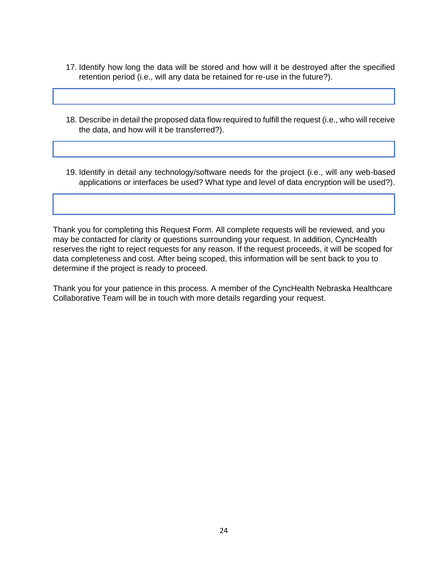- 17. Identify how long the data will be stored and how will it be destroyed after the specified retention period (i.e., will any data be retained for re-use in the future?).
- 18. Describe in detail the proposed data flow required to fulfill the request (i.e., who will receive the data, and how will it be transferred?).
- 19. Identify in detail any technology/software needs for the project (i.e., will any web-based applications or interfaces be used? What type and level of data encryption will be used?).

Thank you for completing this Request Form. All complete requests will be reviewed, and you may be contacted for clarity or questions surrounding your request. In addition, CyncHealth reserves the right to reject requests for any reason. If the request proceeds, it will be scoped for data completeness and cost. After being scoped, this information will be sent back to you to determine if the project is ready to proceed.

Thank you for your patience in this process. A member of the CyncHealth Nebraska Healthcare Collaborative Team will be in touch with more details regarding your request.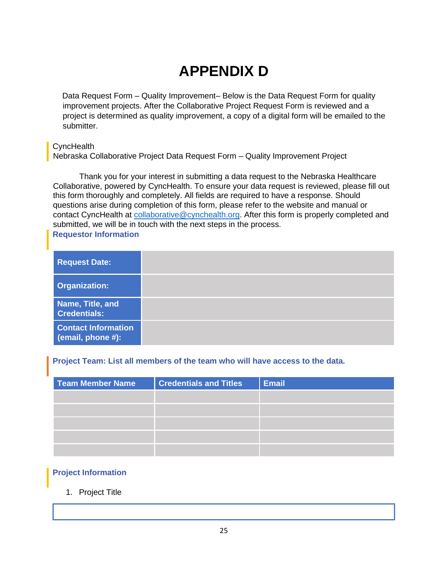# **APPENDIX D**

Data Request Form – Quality Improvement– Below is the Data Request Form for quality improvement projects. After the Collaborative Project Request Form is reviewed and a project is determined as quality improvement, a copy of a digital form will be emailed to the submitter.

### **CyncHealth**

Nebraska Collaborative Project Data Request Form – Quality Improvement Project

Thank you for your interest in submitting a data request to the Nebraska Healthcare Collaborative, powered by CyncHealth. To ensure your data request is reviewed, please fill out this form thoroughly and completely. All fields are required to have a response. Should questions arise during completion of this form, please refer to the website and manual or contact CyncHealth at [collaborative@cynchealth.org.](mailto:collaborative@cynchealth.org) After this form is properly completed and submitted, we will be in touch with the next steps in the process. **Requestor Information**

<span id="page-24-0"></span>

| <b>Request Date:</b>                            |  |
|-------------------------------------------------|--|
| <b>Organization:</b>                            |  |
| Name, Title, and<br><b>Credentials:</b>         |  |
| <b>Contact Information</b><br>(email, phone #): |  |

### **Project Team: List all members of the team who will have access to the data.**

| <b>Team Member Name</b> | <b>Credentials and Titles</b> | <b>Email</b> |
|-------------------------|-------------------------------|--------------|
|                         |                               |              |
|                         |                               |              |
|                         |                               |              |
|                         |                               |              |
|                         |                               |              |

### <span id="page-24-1"></span>**Project Information**

### 1. Project Title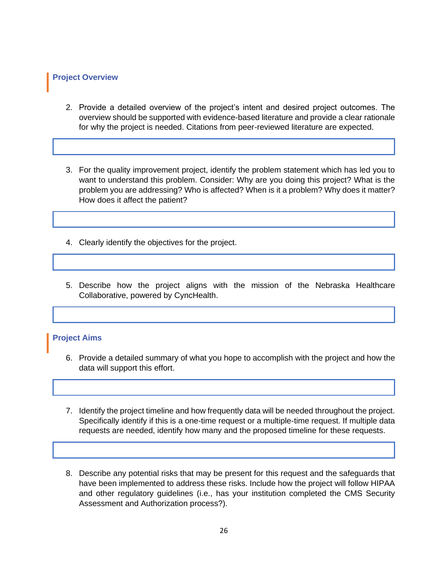#### **Project Overview**

- 2. Provide a detailed overview of the project's intent and desired project outcomes. The overview should be supported with evidence-based literature and provide a clear rationale for why the project is needed. Citations from peer-reviewed literature are expected.
- 3. For the quality improvement project, identify the problem statement which has led you to want to understand this problem. Consider: Why are you doing this project? What is the problem you are addressing? Who is affected? When is it a problem? Why does it matter? How does it affect the patient?
- 4. Clearly identify the objectives for the project.
- 5. Describe how the project aligns with the mission of the Nebraska Healthcare Collaborative, powered by CyncHealth.

#### **Project Aims**

- 6. Provide a detailed summary of what you hope to accomplish with the project and how the data will support this effort.
- 7. Identify the project timeline and how frequently data will be needed throughout the project. Specifically identify if this is a one-time request or a multiple-time request. If multiple data requests are needed, identify how many and the proposed timeline for these requests.
- 8. Describe any potential risks that may be present for this request and the safeguards that have been implemented to address these risks. Include how the project will follow HIPAA and other regulatory guidelines (i.e., has your institution completed the CMS Security Assessment and Authorization process?).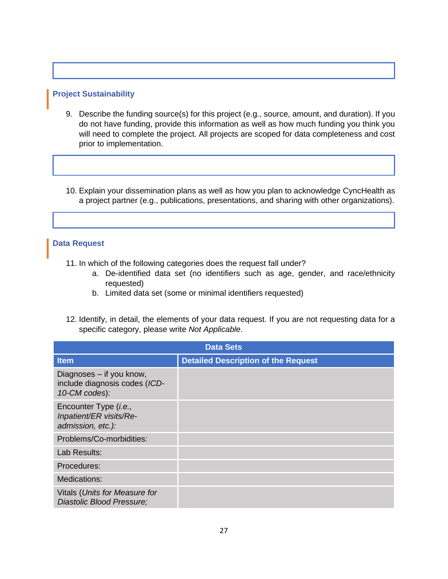### **Project Sustainability**

- 9. Describe the funding source(s) for this project (e.g., source, amount, and duration). If you do not have funding, provide this information as well as how much funding you think you will need to complete the project. All projects are scoped for data completeness and cost prior to implementation.
- 10. Explain your dissemination plans as well as how you plan to acknowledge CyncHealth as a project partner (e.g., publications, presentations, and sharing with other organizations).

#### **Data Request**

11. In which of the following categories does the request fall under?

- a. De-identified data set (no identifiers such as age, gender, and race/ethnicity requested)
- b. Limited data set (some or minimal identifiers requested)
- 12. Identify, in detail, the elements of your data request. If you are not requesting data for a specific category, please write *Not Applicable*.

| <b>Data Sets</b>                                                           |                                            |  |
|----------------------------------------------------------------------------|--------------------------------------------|--|
| <b>Item</b>                                                                | <b>Detailed Description of the Request</b> |  |
| Diagnoses - if you know,<br>include diagnosis codes (ICD-<br>10-CM codes): |                                            |  |
| Encounter Type (i.e.,<br>Inpatient/ER visits/Re-<br>admission, etc.):      |                                            |  |
| Problems/Co-morbidities:                                                   |                                            |  |
| Lab Results:                                                               |                                            |  |
| Procedures:                                                                |                                            |  |
| Medications:                                                               |                                            |  |
| Vitals (Units for Measure for<br>Diastolic Blood Pressure;                 |                                            |  |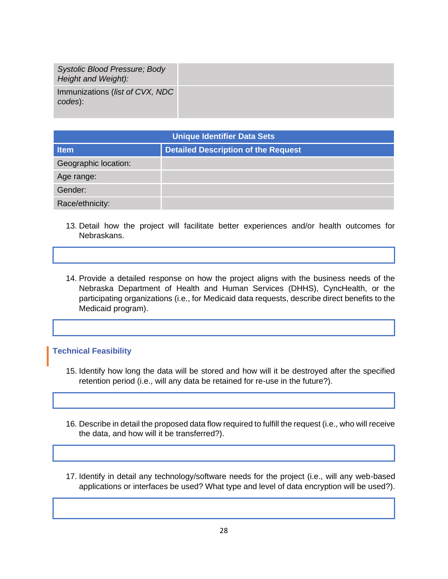| <b>Systolic Blood Pressure; Body</b><br>Height and Weight): |  |
|-------------------------------------------------------------|--|
| Immunizations ( <i>list of CVX, NDC</i><br>codes):          |  |

| <b>Unique Identifier Data Sets</b> |                                            |  |
|------------------------------------|--------------------------------------------|--|
| <b>Item</b>                        | <b>Detailed Description of the Request</b> |  |
| Geographic location:               |                                            |  |
| Age range:                         |                                            |  |
| Gender:                            |                                            |  |
| Race/ethnicity:                    |                                            |  |

- 13. Detail how the project will facilitate better experiences and/or health outcomes for Nebraskans.
- 14. Provide a detailed response on how the project aligns with the business needs of the Nebraska Department of Health and Human Services (DHHS), CyncHealth, or the participating organizations (i.e., for Medicaid data requests, describe direct benefits to the Medicaid program).

#### **Technical Feasibility**

- 15. Identify how long the data will be stored and how will it be destroyed after the specified retention period (i.e., will any data be retained for re-use in the future?).
- 16. Describe in detail the proposed data flow required to fulfill the request (i.e., who will receive the data, and how will it be transferred?).
- 17. Identify in detail any technology/software needs for the project (i.e., will any web-based applications or interfaces be used? What type and level of data encryption will be used?).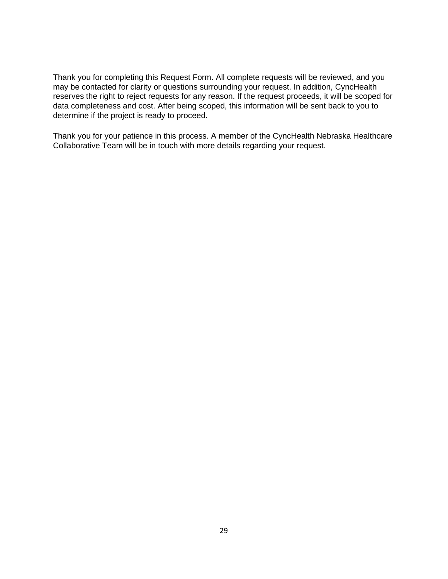Thank you for completing this Request Form. All complete requests will be reviewed, and you may be contacted for clarity or questions surrounding your request. In addition, CyncHealth reserves the right to reject requests for any reason. If the request proceeds, it will be scoped for data completeness and cost. After being scoped, this information will be sent back to you to determine if the project is ready to proceed.

Thank you for your patience in this process. A member of the CyncHealth Nebraska Healthcare Collaborative Team will be in touch with more details regarding your request.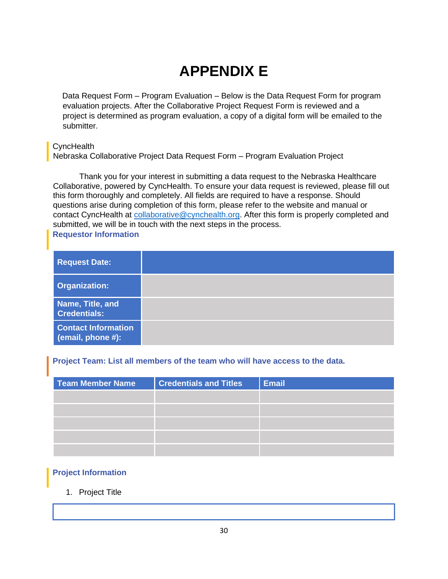# **APPENDIX E**

Data Request Form – Program Evaluation – Below is the Data Request Form for program evaluation projects. After the Collaborative Project Request Form is reviewed and a project is determined as program evaluation, a copy of a digital form will be emailed to the submitter.

### **CyncHealth**

Nebraska Collaborative Project Data Request Form – Program Evaluation Project

Thank you for your interest in submitting a data request to the Nebraska Healthcare Collaborative, powered by CyncHealth. To ensure your data request is reviewed, please fill out this form thoroughly and completely. All fields are required to have a response. Should questions arise during completion of this form, please refer to the website and manual or contact CyncHealth at [collaborative@cynchealth.org.](mailto:collaborative@cynchealth.org) After this form is properly completed and submitted, we will be in touch with the next steps in the process. **Requestor Information**

<span id="page-29-0"></span>

| <b>Request Date:</b>                            |  |
|-------------------------------------------------|--|
| <b>Organization:</b>                            |  |
| Name, Title, and<br><b>Credentials:</b>         |  |
| <b>Contact Information</b><br>(email, phone #): |  |

### **Project Team: List all members of the team who will have access to the data.**

| <b>Team Member Name</b> | <b>Credentials and Titles</b> | <b>Email</b> |
|-------------------------|-------------------------------|--------------|
|                         |                               |              |
|                         |                               |              |
|                         |                               |              |
|                         |                               |              |
|                         |                               |              |

### <span id="page-29-1"></span>**Project Information**

### 1. Project Title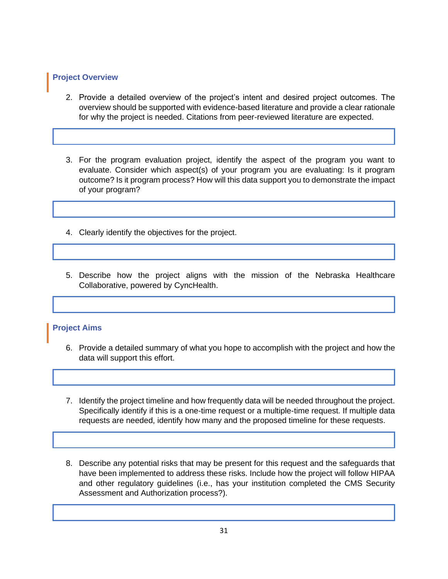### **Project Overview**

- 2. Provide a detailed overview of the project's intent and desired project outcomes. The overview should be supported with evidence-based literature and provide a clear rationale for why the project is needed. Citations from peer-reviewed literature are expected.
- 3. For the program evaluation project, identify the aspect of the program you want to evaluate. Consider which aspect(s) of your program you are evaluating: Is it program outcome? Is it program process? How will this data support you to demonstrate the impact of your program?
- 4. Clearly identify the objectives for the project.
- 5. Describe how the project aligns with the mission of the Nebraska Healthcare Collaborative, powered by CyncHealth.

#### **Project Aims**

- 6. Provide a detailed summary of what you hope to accomplish with the project and how the data will support this effort.
- 7. Identify the project timeline and how frequently data will be needed throughout the project. Specifically identify if this is a one-time request or a multiple-time request. If multiple data requests are needed, identify how many and the proposed timeline for these requests.
- 8. Describe any potential risks that may be present for this request and the safeguards that have been implemented to address these risks. Include how the project will follow HIPAA and other regulatory guidelines (i.e., has your institution completed the CMS Security Assessment and Authorization process?).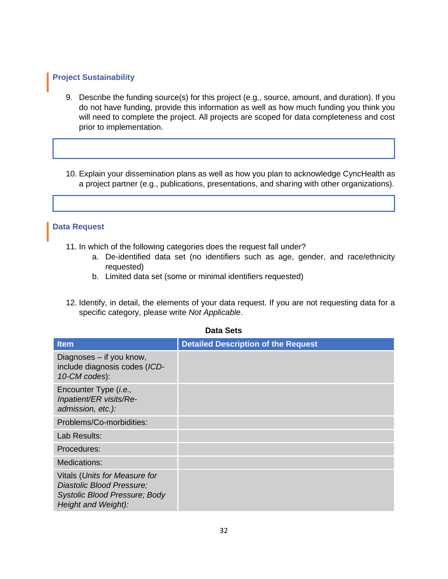### **Project Sustainability**

- 9. Describe the funding source(s) for this project (e.g., source, amount, and duration). If you do not have funding, provide this information as well as how much funding you think you will need to complete the project. All projects are scoped for data completeness and cost prior to implementation.
- 10. Explain your dissemination plans as well as how you plan to acknowledge CyncHealth as a project partner (e.g., publications, presentations, and sharing with other organizations).

#### **Data Request**

- 11. In which of the following categories does the request fall under?
	- a. De-identified data set (no identifiers such as age, gender, and race/ethnicity requested)
	- b. Limited data set (some or minimal identifiers requested)
- 12. Identify, in detail, the elements of your data request. If you are not requesting data for a specific category, please write *Not Applicable*.

| <b>Item</b>                                                                                                               | <b>Detailed Description of the Request</b> |  |
|---------------------------------------------------------------------------------------------------------------------------|--------------------------------------------|--|
| Diagnoses - if you know,<br>include diagnosis codes (ICD-<br>10-CM codes):                                                |                                            |  |
| Encounter Type ( <i>i.e.</i> ,<br>Inpatient/ER visits/Re-<br>admission, etc.):                                            |                                            |  |
| Problems/Co-morbidities:                                                                                                  |                                            |  |
| Lab Results:                                                                                                              |                                            |  |
| Procedures:                                                                                                               |                                            |  |
| Medications:                                                                                                              |                                            |  |
| Vitals (Units for Measure for<br>Diastolic Blood Pressure;<br><b>Systolic Blood Pressure; Body</b><br>Height and Weight): |                                            |  |

# **Data Sets**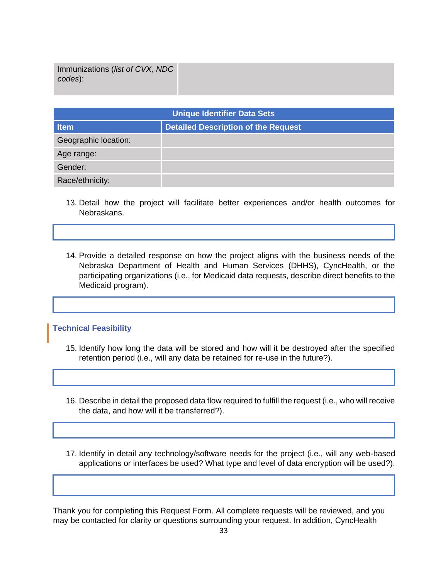Immunizations (*list of CVX, NDC codes*):

| <b>Unique Identifier Data Sets</b> |                                            |  |
|------------------------------------|--------------------------------------------|--|
| <b>Item</b>                        | <b>Detailed Description of the Request</b> |  |
| Geographic location:               |                                            |  |
| Age range:                         |                                            |  |
| Gender:                            |                                            |  |
| Race/ethnicity:                    |                                            |  |

- 13. Detail how the project will facilitate better experiences and/or health outcomes for Nebraskans.
- 14. Provide a detailed response on how the project aligns with the business needs of the Nebraska Department of Health and Human Services (DHHS), CyncHealth, or the participating organizations (i.e., for Medicaid data requests, describe direct benefits to the Medicaid program).

#### **Technical Feasibility**

- 15. Identify how long the data will be stored and how will it be destroyed after the specified retention period (i.e., will any data be retained for re-use in the future?).
- 16. Describe in detail the proposed data flow required to fulfill the request (i.e., who will receive the data, and how will it be transferred?).
- 17. Identify in detail any technology/software needs for the project (i.e., will any web-based applications or interfaces be used? What type and level of data encryption will be used?).

Thank you for completing this Request Form. All complete requests will be reviewed, and you may be contacted for clarity or questions surrounding your request. In addition, CyncHealth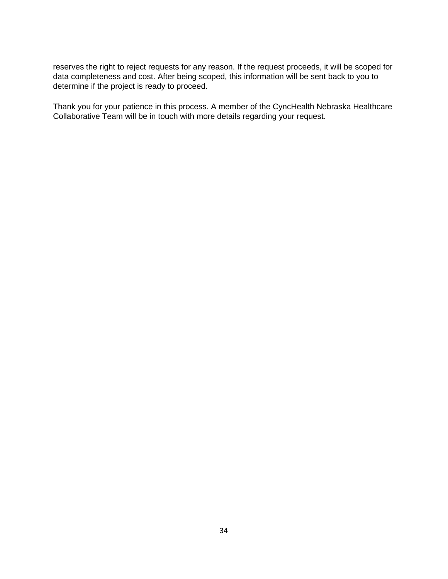reserves the right to reject requests for any reason. If the request proceeds, it will be scoped for data completeness and cost. After being scoped, this information will be sent back to you to determine if the project is ready to proceed.

Thank you for your patience in this process. A member of the CyncHealth Nebraska Healthcare Collaborative Team will be in touch with more details regarding your request.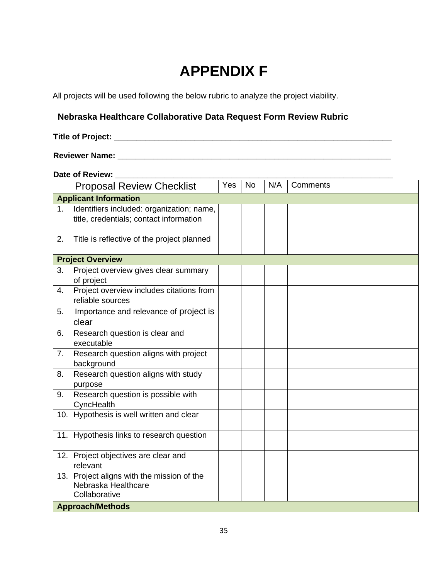# **APPENDIX F**

All projects will be used following the below rubric to analyze the project viability.

## **Nebraska Healthcare Collaborative Data Request Form Review Rubric**

### **Title of Project: \_\_\_\_\_\_\_\_\_\_\_\_\_\_\_\_\_\_\_\_\_\_\_\_\_\_\_\_\_\_\_\_\_\_\_\_\_\_\_\_\_\_\_\_\_\_\_\_\_\_\_\_\_\_\_\_\_\_\_\_\_\_**

### **Reviewer Name: \_\_\_\_\_\_\_\_\_\_\_\_\_\_\_\_\_\_\_\_\_\_\_\_\_\_\_\_\_\_\_\_\_\_\_\_\_\_\_\_\_\_\_\_\_\_\_\_\_\_\_\_\_\_\_\_\_\_\_\_\_**

| Date of Review: |                                                                                      |            |           |     |          |
|-----------------|--------------------------------------------------------------------------------------|------------|-----------|-----|----------|
|                 | <b>Proposal Review Checklist</b>                                                     | <b>Yes</b> | <b>No</b> | N/A | Comments |
|                 | <b>Applicant Information</b>                                                         |            |           |     |          |
| 1.              | Identifiers included: organization; name,<br>title, credentials; contact information |            |           |     |          |
| 2.              | Title is reflective of the project planned                                           |            |           |     |          |
|                 | <b>Project Overview</b>                                                              |            |           |     |          |
| 3.              | Project overview gives clear summary<br>of project                                   |            |           |     |          |
| 4.              | Project overview includes citations from<br>reliable sources                         |            |           |     |          |
| 5.              | Importance and relevance of project is<br>clear                                      |            |           |     |          |
| 6.              | Research question is clear and<br>executable                                         |            |           |     |          |
| 7.              | Research question aligns with project<br>background                                  |            |           |     |          |
| 8.              | Research question aligns with study<br>purpose                                       |            |           |     |          |
| 9.              | Research question is possible with<br>CyncHealth                                     |            |           |     |          |
|                 | 10. Hypothesis is well written and clear                                             |            |           |     |          |
|                 | 11. Hypothesis links to research question                                            |            |           |     |          |
|                 | 12. Project objectives are clear and<br>relevant                                     |            |           |     |          |
|                 | 13. Project aligns with the mission of the<br>Nebraska Healthcare<br>Collaborative   |            |           |     |          |
|                 | <b>Approach/Methods</b>                                                              |            |           |     |          |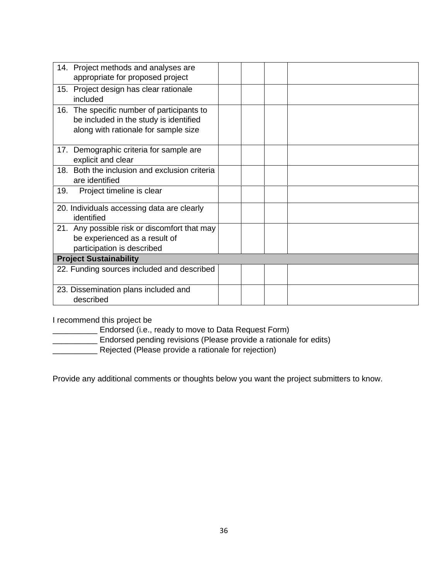| 14. Project methods and analyses are          |  |
|-----------------------------------------------|--|
| appropriate for proposed project              |  |
|                                               |  |
| 15. Project design has clear rationale        |  |
| included                                      |  |
|                                               |  |
| 16. The specific number of participants to    |  |
| be included in the study is identified        |  |
|                                               |  |
| along with rationale for sample size          |  |
|                                               |  |
|                                               |  |
| 17. Demographic criteria for sample are       |  |
| explicit and clear                            |  |
|                                               |  |
| 18. Both the inclusion and exclusion criteria |  |
| are identified                                |  |
| Project timeline is clear<br>19.              |  |
|                                               |  |
|                                               |  |
| 20. Individuals accessing data are clearly    |  |
| identified                                    |  |
|                                               |  |
| 21. Any possible risk or discomfort that may  |  |
| be experienced as a result of                 |  |
|                                               |  |
| participation is described                    |  |
| <b>Project Sustainability</b>                 |  |
| 22. Funding sources included and described    |  |
|                                               |  |
|                                               |  |
| 23. Dissemination plans included and          |  |
| described                                     |  |
|                                               |  |

I recommend this project be

\_\_\_\_\_\_\_\_\_\_ Endorsed (i.e., ready to move to Data Request Form)

**EXECUTE:** Endorsed pending revisions (Please provide a rationale for edits)

**EXECUTE:** Rejected (Please provide a rationale for rejection)

Provide any additional comments or thoughts below you want the project submitters to know.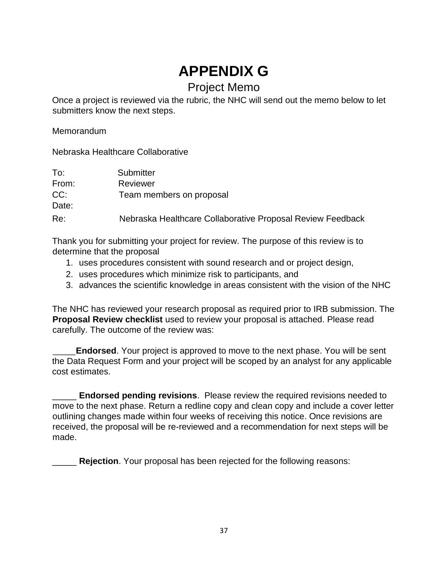# **APPENDIX G**

# Project Memo

Once a project is reviewed via the rubric, the NHC will send out the memo below to let submitters know the next steps.

Memorandum

Nebraska Healthcare Collaborative

| To:          | Submitter                                                  |
|--------------|------------------------------------------------------------|
| From:        | Reviewer                                                   |
| CC:<br>Date: | Team members on proposal                                   |
| Re:          | Nebraska Healthcare Collaborative Proposal Review Feedback |

Thank you for submitting your project for review. The purpose of this review is to determine that the proposal

- 1. uses procedures consistent with sound research and or project design,
- 2. uses procedures which minimize risk to participants, and
- 3. advances the scientific knowledge in areas consistent with the vision of the NHC

The NHC has reviewed your research proposal as required prior to IRB submission. The **Proposal Review checklist** used to review your proposal is attached. Please read carefully. The outcome of the review was:

 **Endorsed**. Your project is approved to move to the next phase. You will be sent the Data Request Form and your project will be scoped by an analyst for any applicable cost estimates.

\_\_\_\_\_ **Endorsed pending revisions**. Please review the required revisions needed to move to the next phase. Return a redline copy and clean copy and include a cover letter outlining changes made within four weeks of receiving this notice. Once revisions are received, the proposal will be re-reviewed and a recommendation for next steps will be made.

\_\_\_\_\_ **Rejection**. Your proposal has been rejected for the following reasons: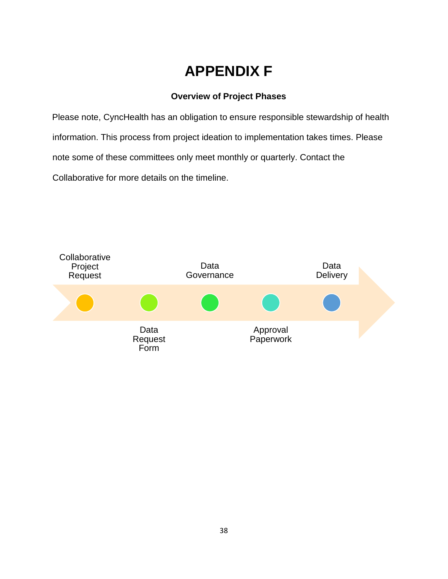# **APPENDIX F**

## **Overview of Project Phases**

Please note, CyncHealth has an obligation to ensure responsible stewardship of health information. This process from project ideation to implementation takes times. Please note some of these committees only meet monthly or quarterly. Contact the Collaborative for more details on the timeline.

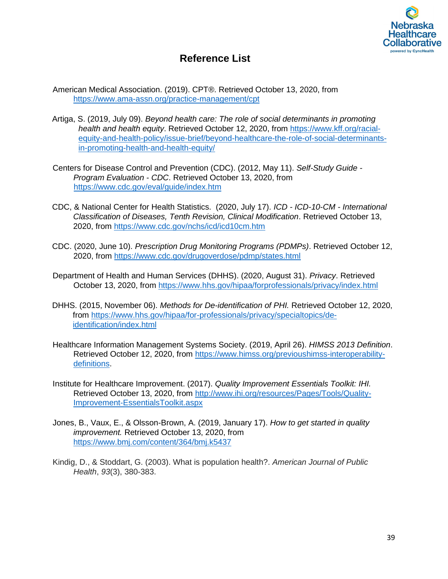

# **Reference List**

American Medical Association. (2019). CPT®. Retrieved October 13, 2020, from <https://www.ama-assn.org/practice-management/cpt>

- Artiga, S. (2019, July 09). *Beyond health care: The role of social determinants in promoting health and health equity*. Retrieved October 12, 2020, from [https://www.kff.org/racial](https://www.kff.org/racial-equity-and-health-policy/issue-brief/beyond-health-care-the-role-of-social-determinants-in-promoting-health-and-health-equity/)[equity-and-health-policy/issue-brief/beyond-healthcare-the-role-of-social-determinants](https://www.kff.org/racial-equity-and-health-policy/issue-brief/beyond-health-care-the-role-of-social-determinants-in-promoting-health-and-health-equity/)[in-promoting-health-and-health-equity/](https://www.kff.org/racial-equity-and-health-policy/issue-brief/beyond-health-care-the-role-of-social-determinants-in-promoting-health-and-health-equity/)
- Centers for Disease Control and Prevention (CDC). (2012, May 11). *Self-Study Guide - Program Evaluation - CDC*. Retrieved October 13, 2020, from <https://www.cdc.gov/eval/guide/index.htm>
- CDC, & National Center for Health Statistics. (2020, July 17). *ICD - ICD-10-CM - International Classification of Diseases, Tenth Revision, Clinical Modification*. Retrieved October 13, 2020, from<https://www.cdc.gov/nchs/icd/icd10cm.htm>
- CDC. (2020, June 10). *Prescription Drug Monitoring Programs (PDMPs)*. Retrieved October 12, 2020, from<https://www.cdc.gov/drugoverdose/pdmp/states.html>
- Department of Health and Human Services (DHHS). (2020, August 31). *Privacy*. Retrieved October 13, 2020, from [https://www.hhs.gov/hipaa/forprofessionals/privacy/index.html](https://www.hhs.gov/hipaa/for-professionals/privacy/index.html)
- DHHS. (2015, November 06). *Methods for De-identification of PHI.* Retrieved October 12, 2020, from [https://www.hhs.gov/hipaa/for-professionals/privacy/specialtopics/de](https://www.hhs.gov/hipaa/for-professionals/privacy/special-topics/de-identification/index.html)[identification/index.html](https://www.hhs.gov/hipaa/for-professionals/privacy/special-topics/de-identification/index.html)
- Healthcare Information Management Systems Society. (2019, April 26). *HIMSS 2013 Definition*. Retrieved October 12, 2020, from [https://www.himss.org/previoushimss-interoperability](https://www.himss.org/previous-himss-interoperability-definitions)[definitions.](https://www.himss.org/previous-himss-interoperability-definitions)
- Institute for Healthcare Improvement. (2017). *Quality Improvement Essentials Toolkit: IHI.* Retrieved October 13, 2020, from<http://www.ihi.org/resources/Pages/Tools/Quality>[-](http://www.ihi.org/resources/Pages/Tools/Quality-Improvement-Essentials-Toolkit.aspx)[Improvement-EssentialsToolkit.aspx](http://www.ihi.org/resources/Pages/Tools/Quality-Improvement-Essentials-Toolkit.aspx)
- Jones, B., Vaux, E., & Olsson-Brown, A. (2019, January 17). *How to get started in quality improvement.* Retrieved October 13, 2020, from <https://www.bmj.com/content/364/bmj.k5437>
- Kindig, D., & Stoddart, G. (2003). What is population health?. *American Journal of Public Health*, *93*(3), 380-383.